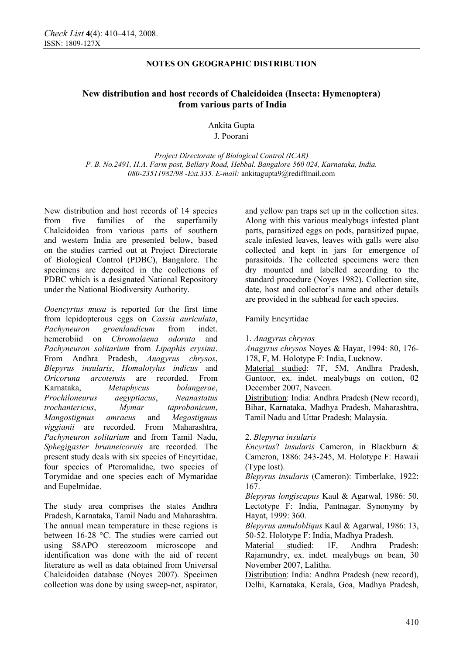# **New distribution and host records of Chalcidoidea (Insecta: Hymenoptera) from various parts of India**

### Ankita Gupta J. Poorani

*Project Directorate of Biological Control (ICAR) P. B. No.2491, H.A. Farm post, Bellary Road, Hebbal. Bangalore 560 024, Karnataka, India. 080-23511982/98 -Ext.335. E-mail:* ankitagupta9@rediffmail.com

New distribution and host records of 14 species from five families of the superfamily Chalcidoidea from various parts of southern and western India are presented below, based on the studies carried out at Project Directorate of Biological Control (PDBC), Bangalore. The specimens are deposited in the collections of PDBC which is a designated National Repository under the National Biodiversity Authority.

*Ooencyrtus musa* is reported for the first time from lepidopterous eggs on *Cassia auriculata*, *Pachyneuron groenlandicum* from indet. hemerobiid on *Chromolaena odorata* and *Pachyneuron solitarium* from *Lipaphis erysimi*. From Andhra Pradesh, *Anagyrus chrysos*, *Blepyrus insularis*, *Homalotylus indicus* and *Oricoruna arcotensis* are recorded. From Karnataka, *Metaphycus bolangerae*, *Prochiloneurus aegyptiacus*, *Neanastatus trochantericus*, *Mymar taprobanicum*, *Mangostigmus amraeus* and *Megastigmus viggianii* are recorded. From Maharashtra, *Pachyneuron solitarium* and from Tamil Nadu, *Sphegigaster brunneicornis* are recorded. The present study deals with six species of Encyrtidae, four species of Pteromalidae, two species of Torymidae and one species each of Mymaridae and Eupelmidae.

The study area comprises the states Andhra Pradesh, Karnataka, Tamil Nadu and Maharashtra. The annual mean temperature in these regions is between 16-28 °C. The studies were carried out using S8APO stereozoom microscope and identification was done with the aid of recent literature as well as data obtained from Universal Chalcidoidea database (Noyes 2007). Specimen collection was done by using sweep-net, aspirator, and yellow pan traps set up in the collection sites. Along with this various mealybugs infested plant parts, parasitized eggs on pods, parasitized pupae, scale infested leaves, leaves with galls were also collected and kept in jars for emergence of parasitoids. The collected specimens were then dry mounted and labelled according to the standard procedure (Noyes 1982). Collection site, date, host and collector's name and other details are provided in the subhead for each species.

## Family Encyrtidae

### 1. *Anagyrus chrysos*

*Anagyrus chrysos* Noyes & Hayat, 1994: 80, 176- 178, F, M. Holotype F: India, Lucknow.

Material studied: 7F, 5M, Andhra Pradesh, Guntoor, ex. indet. mealybugs on cotton, 02 December 2007, Naveen.

Distribution: India: Andhra Pradesh (New record), Bihar, Karnataka, Madhya Pradesh, Maharashtra, Tamil Nadu and Uttar Pradesh; Malaysia.

## 2. *Blepyrus insularis*

*Encyrtus*? *insularis* Cameron, in Blackburn & Cameron, 1886: 243-245, M. Holotype F: Hawaii (Type lost).

*Blepyrus insularis* (Cameron): Timberlake, 1922: 167.

*Blepyrus longiscapus* Kaul & Agarwal, 1986: 50. Lectotype F: India, Pantnagar. Synonymy by Hayat, 1999: 360.

*Blepyrus annulobliqus* Kaul & Agarwal, 1986: 13, 50-52. Holotype F: India, Madhya Pradesh.

Material studied: 1F, Andhra Pradesh: Rajamundry, ex. indet. mealybugs on bean, 30 November 2007, Lalitha.

Distribution: India: Andhra Pradesh (new record), Delhi, Karnataka, Kerala, Goa, Madhya Pradesh,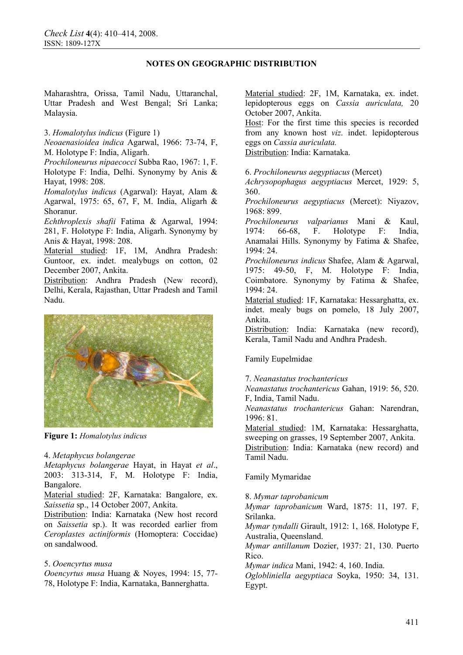Maharashtra, Orissa, Tamil Nadu, Uttaranchal, Uttar Pradesh and West Bengal; Sri Lanka; Malaysia.

3. *Homalotylus indicus* (Figure 1)

*Neoaenasioidea indica* Agarwal, 1966: 73-74, F, M. Holotype F: India, Aligarh.

*Prochiloneurus nipaecocci* Subba Rao, 1967: 1, F. Holotype F: India, Delhi. Synonymy by Anis & Hayat, 1998: 208.

*Homalotylus indicus* (Agarwal): Hayat, Alam & Agarwal, 1975: 65, 67, F, M. India, Aligarh & Shoranur.

*Echthroplexis shafii* Fatima & Agarwal, 1994: 281, F. Holotype F: India, Aligarh. Synonymy by Anis & Hayat, 1998: 208.

Material studied: 1F, 1M, Andhra Pradesh: Guntoor, ex. indet. mealybugs on cotton, 02 December 2007, Ankita.

Distribution: Andhra Pradesh (New record), Delhi, Kerala, Rajasthan, Uttar Pradesh and Tamil Nadu.



**Figure 1:** *Homalotylus indicus*

#### 4. *Metaphycus bolangerae*

*Metaphycus bolangerae* Hayat, in Hayat *et al*., 2003: 313-314, F, M. Holotype F: India, Bangalore.

Material studied: 2F, Karnataka: Bangalore, ex. *Saissetia* sp., 14 October 2007, Ankita.

Distribution: India: Karnataka (New host record on *Saissetia* sp.). It was recorded earlier from *Ceroplastes actiniformis* (Homoptera: Coccidae) on sandalwood.

### 5. *Ooencyrtus musa*

*Ooencyrtus musa* Huang & Noyes, 1994: 15, 77- 78, Holotype F: India, Karnataka, Bannerghatta.

Material studied: 2F, 1M, Karnataka, ex. indet. lepidopterous eggs on *Cassia auriculata,* 20 October 2007, Ankita.

Host: For the first time this species is recorded from any known host *viz*. indet. lepidopterous eggs on *Cassia auriculata.*

Distribution: India: Karnataka.

6. *Prochiloneurus aegyptiacus* (Mercet)

*Achrysopophagus aegyptiacus* Mercet, 1929: 5, 360.

*Prochiloneurus aegyptiacus* (Mercet): Niyazov, 1968: 899.

*Prochiloneurus valparianus* Mani & Kaul, 1974: 66-68, F. Holotype F: India, Anamalai Hills. Synonymy by Fatima & Shafee, 1994: 24.

*Prochiloneurus indicus* Shafee, Alam & Agarwal, 1975: 49-50, F, M. Holotype F: India, Coimbatore. Synonymy by Fatima & Shafee, 1994: 24.

Material studied: 1F, Karnataka: Hessarghatta, ex. indet. mealy bugs on pomelo, 18 July 2007, Ankita.

Distribution: India: Karnataka (new record), Kerala, Tamil Nadu and Andhra Pradesh.

Family Eupelmidae

### 7. *Neanastatus trochantericus*

*Neanastatus trochantericus* Gahan, 1919: 56, 520. F, India, Tamil Nadu.

*Neanastatus trochantericus* Gahan: Narendran, 1996: 81.

Material studied: 1M, Karnataka: Hessarghatta, sweeping on grasses, 19 September 2007, Ankita. Distribution: India: Karnataka (new record) and Tamil Nadu.

## Family Mymaridae

8. *Mymar taprobanicum*

*Mymar taprobanicum* Ward, 1875: 11, 197. F, Srilanka.

*Mymar tyndalli* Girault, 1912: 1, 168. Holotype F, Australia, Queensland.

*Mymar antillanum* Dozier, 1937: 21, 130. Puerto Rico.

*Mymar indica* Mani, 1942: 4, 160. India.

*Oglobliniella aegyptiaca* Soyka, 1950: 34, 131. Egypt.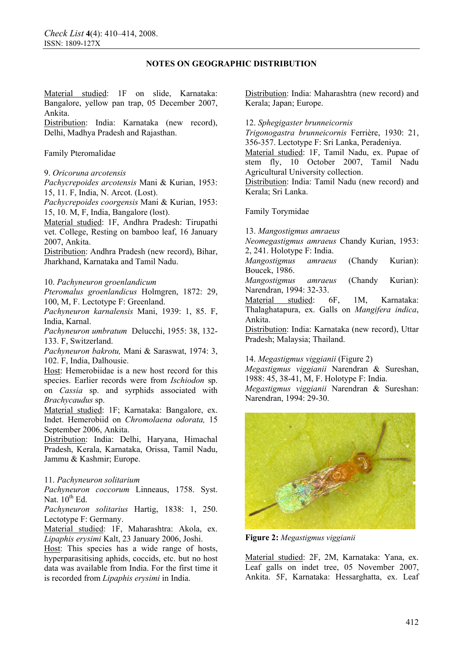Material studied: 1F on slide, Karnataka: Bangalore, yellow pan trap, 05 December 2007, Ankita.

Distribution: India: Karnataka (new record), Delhi, Madhya Pradesh and Rajasthan.

Family Pteromalidae

9. *Oricoruna arcotensis*

*Pachycrepoides arcotensis* Mani & Kurian, 1953: 15, 11. F, India, N. Arcot. (Lost).

*Pachycrepoides coorgensis* Mani & Kurian, 1953: 15, 10. M, F, India, Bangalore (lost).

Material studied: 1F, Andhra Pradesh: Tirupathi vet. College, Resting on bamboo leaf, 16 January 2007, Ankita.

Distribution: Andhra Pradesh (new record), Bihar, Jharkhand, Karnataka and Tamil Nadu.

#### 10. *Pachyneuron groenlandicum*

*Pteromalus groenlandicus* Holmgren, 1872: 29, 100, M, F. Lectotype F: Greenland.

*Pachyneuron karnalensis* Mani, 1939: 1, 85. F, India, Karnal.

*Pachyneuron umbratum* Delucchi, 1955: 38, 132- 133. F, Switzerland.

*Pachyneuron bakrotu,* Mani & Saraswat, 1974: 3, 102. F, India, Dalhousie.

Host: Hemerobiidae is a new host record for this species. Earlier records were from *Ischiodon* sp. on *Cassia* sp. and syrphids associated with *Brachycaudus* sp.

Material studied: 1F; Karnataka: Bangalore, ex. Indet. Hemerobiid on *Chromolaena odorata,* 15 September 2006, Ankita.

Distribution: India: Delhi, Haryana, Himachal Pradesh, Kerala, Karnataka, Orissa, Tamil Nadu, Jammu & Kashmir; Europe.

#### 11. *Pachyneuron solitarium*

*Pachyneuron coccorum* Linneaus, 1758. Syst. Nat.  $10^{th}$  Ed.

*Pachyneuron solitarius* Hartig, 1838: 1, 250. Lectotype F: Germany.

Material studied: 1F, Maharashtra: Akola, ex. *Lipaphis erysimi* Kalt, 23 January 2006, Joshi.

Host: This species has a wide range of hosts, hyperparasitising aphids, coccids, etc. but no host data was available from India. For the first time it is recorded from *Lipaphis erysimi* in India.

Distribution: India: Maharashtra (new record) and Kerala; Japan; Europe.

12. *Sphegigaster brunneicornis*

*Trigonogastra brunneicornis* Ferrière, 1930: 21, 356-357. Lectotype F: Sri Lanka, Peradeniya.

Material studied: 1F, Tamil Nadu, ex. Pupae of stem fly, 10 October 2007, Tamil Nadu Agricultural University collection.

Distribution: India: Tamil Nadu (new record) and Kerala; Sri Lanka.

Family Torymidae

13. *Mangostigmus amraeus*

*Neomegastigmus amraeus* Chandy Kurian, 1953: 2, 241. Holotype F: India.

*Mangostigmus amraeus* (Chandy Kurian): Boucek, 1986.

*Mangostigmus amraeus* (Chandy Kurian): Narendran, 1994: 32-33.

Material studied: 6F, 1M, Karnataka: Thalaghatapura, ex. Galls on *Mangifera indica*, Ankita.

Distribution: India: Karnataka (new record), Uttar Pradesh; Malaysia; Thailand.

#### 14. *Megastigmus viggianii* (Figure 2)

*Megastigmus viggianii* Narendran & Sureshan, 1988: 45, 38-41, M, F. Holotype F: India. *Megastigmus viggianii* Narendran & Sureshan: Narendran, 1994: 29-30.



**Figure 2:** *Megastigmus viggianii*

Material studied: 2F, 2M, Karnataka: Yana, ex. Leaf galls on indet tree, 05 November 2007, Ankita. 5F, Karnataka: Hessarghatta, ex. Leaf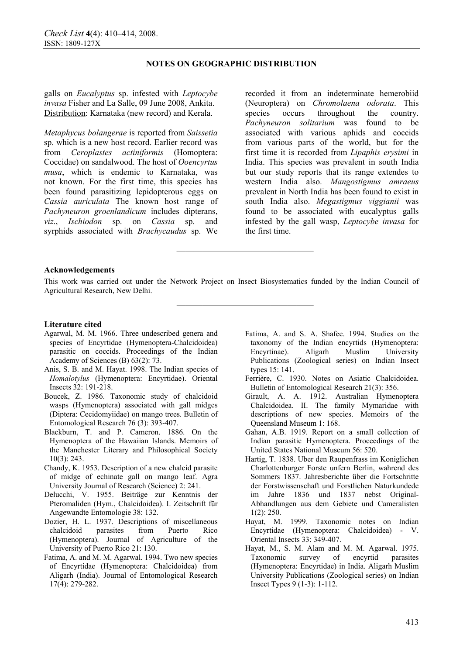galls on *Eucalyptus* sp. infested with *Leptocybe invasa* Fisher and La Salle, 09 June 2008, Ankita. Distribution: Karnataka (new record) and Kerala.

*Metaphycus bolangerae* is reported from *Saissetia*  sp. which is a new host record. Earlier record was from *Ceroplastes actiniformis* (Homoptera: Coccidae) on sandalwood. The host of *Ooencyrtus musa*, which is endemic to Karnataka, was not known. For the first time, this species has been found parasitizing lepidopterous eggs on *Cassia auriculata* The known host range of *Pachyneuron groenlandicum* includes dipterans, *viz*., *Ischiodon* sp. on *Cassia* sp. and syrphids associated with *Brachycaudus* sp. We

recorded it from an indeterminate hemerobiid (Neuroptera) on *Chromolaena odorata*. This species occurs throughout the country. *Pachyneuron solitarium* was found to be associated with various aphids and coccids from various parts of the world, but for the first time it is recorded from *Lipaphis erysimi* in India. This species was prevalent in south India but our study reports that its range extendes to western India also. *Mangostigmus amraeus*  prevalent in North India has been found to exist in south India also. *Megastigmus viggianii* was found to be associated with eucalyptus galls infested by the gall wasp, *Leptocybe invasa* for the first time.

#### **Acknowledgements**

This work was carried out under the Network Project on Insect Biosystematics funded by the Indian Council of Agricultural Research, New Delhi.

**————————————————** 

**————————————————** 

#### **Literature cited**

- Agarwal, M. M. 1966. Three undescribed genera and species of Encyrtidae (Hymenoptera-Chalcidoidea) parasitic on coccids. Proceedings of the Indian Academy of Sciences (B) 63(2): 73.
- Anis, S. B. and M. Hayat. 1998. The Indian species of *Homalotylus* (Hymenoptera: Encyrtidae). Oriental Insects 32: 191-218.
- Boucek, Z. 1986. Taxonomic study of chalcidoid wasps (Hymenoptera) associated with gall midges (Diptera: Cecidomyiidae) on mango trees. Bulletin of Entomological Research 76 (3): 393-407.
- Blackburn, T. and P. Cameron. 1886. On the Hymenoptera of the Hawaiian Islands. Memoirs of the Manchester Literary and Philosophical Society 10(3): 243.
- Chandy, K. 1953. Description of a new chalcid parasite of midge of echinate gall on mango leaf. Agra University Journal of Research (Science) 2: 241.
- Delucchi, V. 1955. Beiträge zur Kenntnis der Pteromaliden (Hym., Chalcidoidea). I. Zeitschrift für Angewandte Entomologie 38: 132.
- Dozier, H. L. 1937. Descriptions of miscellaneous chalcidoid parasites from Puerto Rico (Hymenoptera). Journal of Agriculture of the University of Puerto Rico 21: 130.
- Fatima, A. and M. M. Agarwal. 1994. Two new species of Encyrtidae (Hymenoptera: Chalcidoidea) from Aligarh (India). Journal of Entomological Research 17(4): 279-282.
- Fatima, A. and S. A. Shafee. 1994. Studies on the taxonomy of the Indian encyrtids (Hymenoptera: Encyrtinae). Aligarh Muslim University Publications (Zoological series) on Indian Insect types 15: 141.
- Ferrière, C. 1930. Notes on Asiatic Chalcidoidea. Bulletin of Entomological Research 21(3): 356.
- Girault, A. A. 1912. Australian Hymenoptera Chalcidoidea. II. The family Mymaridae with descriptions of new species. Memoirs of the Queensland Museum 1: 168.
- Gahan, A.B. 1919. Report on a small collection of Indian parasitic Hymenoptera. Proceedings of the United States National Museum 56: 520.
- Hartig, T. 1838. Uber den Raupenfrass im Koniglichen Charlottenburger Forste unfern Berlin, wahrend des Sommers 1837. Jahresberichte über die Fortschritte der Forstwissenschaft und Forstlichen Naturkundede im Jahre 1836 und 1837 nebst Original-Abhandlungen aus dem Gebiete und Cameralisten 1(2): 250.
- Hayat, M. 1999. Taxonomic notes on Indian Encyrtidae (Hymenoptera: Chalcidoidea) - V. Oriental Insects 33: 349-407.
- Hayat, M., S. M. Alam and M. M. Agarwal. 1975. Taxonomic survey of encyrtid parasites (Hymenoptera: Encyrtidae) in India. Aligarh Muslim University Publications (Zoological series) on Indian Insect Types 9 (1-3): 1-112.